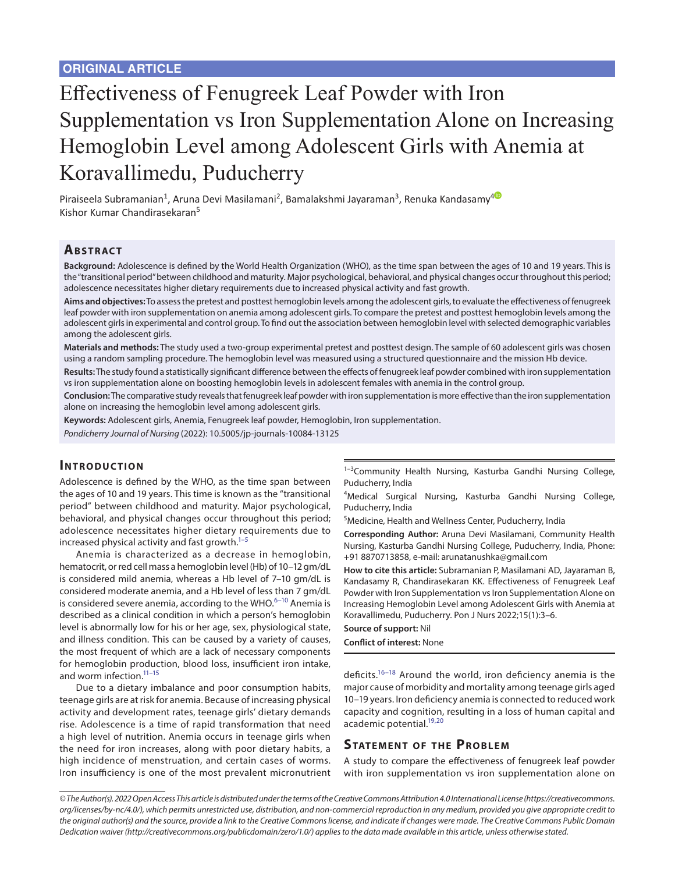# Effectiveness of Fenugreek Leaf Powder with Iron Supplementation vs Iron Supplementation Alone on Increasing Hemoglobin Level among Adolescent Girls with Anemia at Koravallimedu, Puducherry

Piraiseela Subramanian<sup>1</sup>, Aruna Devi Masilamani<sup>2</sup>, Bamalakshmi Jayaraman<sup>3</sup>, Renuka Kandasamy<sup>[4](https://orcid.org/0000-0001-8898-4515)</sup> Kishor Kumar Chandirasekaran<sup>5</sup>

### **ABSTRACT**

**Background:** Adolescence is defined by the World Health Organization (WHO), as the time span between the ages of 10 and 19 years. This is the "transitional period" between childhood and maturity. Major psychological, behavioral, and physical changes occur throughout this period; adolescence necessitates higher dietary requirements due to increased physical activity and fast growth.

**Aims and objectives:** To assess the pretest and posttest hemoglobin levels among the adolescent girls, to evaluate the effectiveness of fenugreek leaf powder with iron supplementation on anemia among adolescent girls. To compare the pretest and posttest hemoglobin levels among the adolescent girls in experimental and control group. To find out the association between hemoglobin level with selected demographic variables among the adolescent girls.

**Materials and methods:** The study used a two-group experimental pretest and posttest design. The sample of 60 adolescent girls was chosen using a random sampling procedure. The hemoglobin level was measured using a structured questionnaire and the mission Hb device.

**Results:** The study found a statistically significant difference between the effects of fenugreek leaf powder combined with iron supplementation vs iron supplementation alone on boosting hemoglobin levels in adolescent females with anemia in the control group.

**Conclusion:** The comparative study reveals that fenugreek leaf powder with iron supplementation is more effective than the iron supplementation alone on increasing the hemoglobin level among adolescent girls.

**Keywords:** Adolescent girls, Anemia, Fenugreek leaf powder, Hemoglobin, Iron supplementation.

*Pondicherry Journal of Nursing* (2022): 10.5005/jp-journals-10084-13125

### **INTRODUCTION**

Adolescence is defined by the WHO, as the time span between the ages of 10 and 19 years. This time is known as the "transitional period" between childhood and maturity. Major psychological, behavioral, and physical changes occur throughout this period; adolescence necessitates higher dietary requirements due to increased physical activity and fast growth. $1-5$ 

Anemia is characterized as a decrease in hemoglobin, hematocrit, or red cell mass a hemoglobin level (Hb) of 10–12 gm/dL is considered mild anemia, whereas a Hb level of 7–10 gm/dL is considered moderate anemia, and a Hb level of less than 7 gm/dL is considered severe anemia, according to the WHO. $6-10$  $6-10$  Anemia is described as a clinical condition in which a person's hemoglobin level is abnormally low for his or her age, sex, physiological state, and illness condition. This can be caused by a variety of causes, the most frequent of which are a lack of necessary components for hemoglobin production, blood loss, insufficient iron intake, and worm infection.<sup>11-15</sup>

Due to a dietary imbalance and poor consumption habits, teenage girls are at risk for anemia. Because of increasing physical activity and development rates, teenage girls' dietary demands rise. Adolescence is a time of rapid transformation that need a high level of nutrition. Anemia occurs in teenage girls when the need for iron increases, along with poor dietary habits, a high incidence of menstruation, and certain cases of worms. Iron insufficiency is one of the most prevalent micronutrient <sup>1-3</sup>Community Health Nursing, Kasturba Gandhi Nursing College, Puducherry, India

4 Medical Surgical Nursing, Kasturba Gandhi Nursing College, Puducherry, India

5 Medicine, Health and Wellness Center, Puducherry, India

**Corresponding Author:** Aruna Devi Masilamani, Community Health Nursing, Kasturba Gandhi Nursing College, Puducherry, India, Phone: +91 8870713858, e-mail: arunatanushka@gmail.com

**How to cite this article:** Subramanian P, Masilamani AD, Jayaraman B, Kandasamy R, Chandirasekaran KK. Effectiveness of Fenugreek Leaf Powder with Iron Supplementation vs Iron Supplementation Alone on Increasing Hemoglobin Level among Adolescent Girls with Anemia at Koravallimedu, Puducherry. Pon J Nurs 2022;15(1):3–6.

#### **Source of support:** Nil **Conflict of interest:** None

deficits.[16–](#page-3-3)[18](#page-3-4) Around the world, iron deficiency anemia is the major cause of morbidity and mortality among teenage girls aged 10–19 years. Iron deficiency anemia is connected to reduced work capacity and cognition, resulting in a loss of human capital and academic potential.<sup>19,[20](#page-3-6)</sup>

### **STATEMENT OF THE PROBLEM**

A study to compare the effectiveness of fenugreek leaf powder with iron supplementation vs iron supplementation alone on

*<sup>©</sup> The Author(s). 2022 Open Access This article is distributed under the terms of the Creative Commons Attribution 4.0 International License ([https://creativecommons.](https://creativecommons. org/licenses/by-nc/4.0/)  [org/licenses/by-nc/4.0/](https://creativecommons. org/licenses/by-nc/4.0/)), which permits unrestricted use, distribution, and non-commercial reproduction in any medium, provided you give appropriate credit to the original author(s) and the source, provide a link to the Creative Commons license, and indicate if changes were made. The Creative Commons Public Domain Dedication waiver ([http://creativecommons.org/publicdomain/zero/1.0/\)](http://creativecommons.org/publicdomain/zero/1.0/) applies to the data made available in this article, unless otherwise stated.*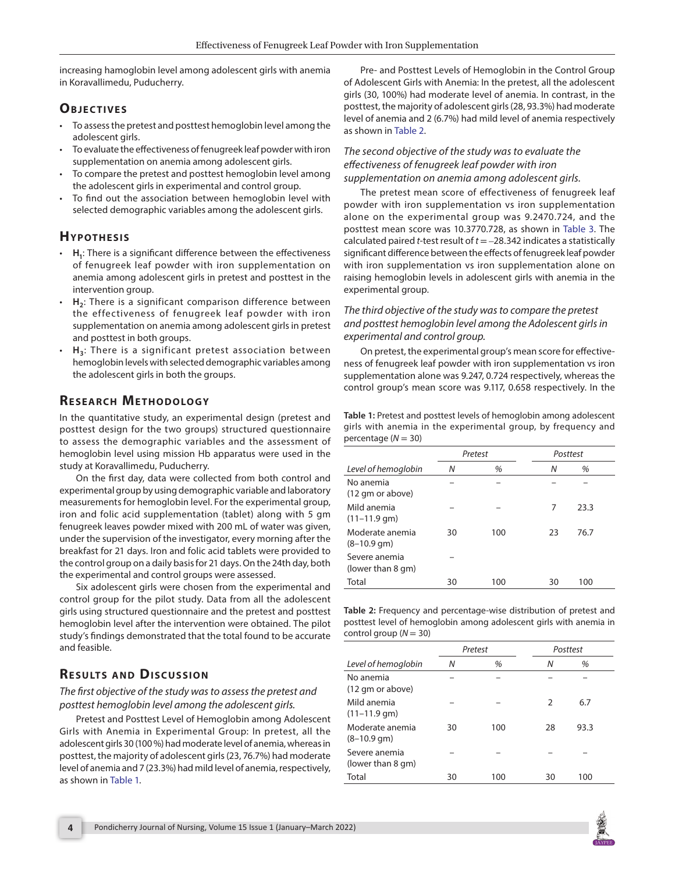increasing hamoglobin level among adolescent girls with anemia in Koravallimedu, Puducherry.

## **OBJECTIVES**

- To assess the pretest and posttest hemoglobin level among the adolescent girls.
- To evaluate the effectiveness of fenugreek leaf powder with iron supplementation on anemia among adolescent girls.
- To compare the pretest and posttest hemoglobin level among the adolescent girls in experimental and control group.
- To find out the association between hemoglobin level with selected demographic variables among the adolescent girls.

### **HYPOTHESIS**

- **H1**: There is a significant difference between the effectiveness of fenugreek leaf powder with iron supplementation on anemia among adolescent girls in pretest and posttest in the intervention group.
- H<sub>2</sub>: There is a significant comparison difference between the effectiveness of fenugreek leaf powder with iron supplementation on anemia among adolescent girls in pretest and posttest in both groups.
- H<sub>3</sub>: There is a significant pretest association between hemoglobin levels with selected demographic variables among the adolescent girls in both the groups.

# **RESEARCH METHODOLOGY**

In the quantitative study, an experimental design (pretest and posttest design for the two groups) structured questionnaire to assess the demographic variables and the assessment of hemoglobin level using mission Hb apparatus were used in the study at Koravallimedu, Puducherry.

On the first day, data were collected from both control and experimental group by using demographic variable and laboratory measurements for hemoglobin level. For the experimental group, iron and folic acid supplementation (tablet) along with 5 gm fenugreek leaves powder mixed with 200 mL of water was given, under the supervision of the investigator, every morning after the breakfast for 21 days. Iron and folic acid tablets were provided to the control group on a daily basis for 21 days. On the 24th day, both the experimental and control groups were assessed.

Six adolescent girls were chosen from the experimental and control group for the pilot study. Data from all the adolescent girls using structured questionnaire and the pretest and posttest hemoglobin level after the intervention were obtained. The pilot study's findings demonstrated that the total found to be accurate and feasible.

# **RESULTS AND DISCUSSION**

*The first objective of the study was to assess the pretest and posttest hemoglobin level among the adolescent girls.*

Pretest and Posttest Level of Hemoglobin among Adolescent Girls with Anemia in Experimental Group: In pretest, all the adolescent girls 30 (100 %) had moderate level of anemia, whereas in posttest, the majority of adolescent girls (23, 76.7%) had moderate level of anemia and 7 (23.3%) had mild level of anemia, respectively, as shown in [Table 1](#page-1-0).

Pre- and Posttest Levels of Hemoglobin in the Control Group of Adolescent Girls with Anemia: In the pretest, all the adolescent girls (30, 100%) had moderate level of anemia. In contrast, in the posttest, the majority of adolescent girls (28, 93.3%) had moderate level of anemia and 2 (6.7%) had mild level of anemia respectively as shown in [Table 2.](#page-1-1)

### *The second objective of the study was to evaluate the effectiveness of fenugreek leaf powder with iron supplementation on anemia among adolescent girls.*

The pretest mean score of effectiveness of fenugreek leaf powder with iron supplementation vs iron supplementation alone on the experimental group was 9.2470.724, and the posttest mean score was 10.3770.728, as shown in [Table 3.](#page-2-3) The calculated paired *t*-test result of *t* = –28.342 indicates a statistically significant difference between the effects of fenugreek leaf powder with iron supplementation vs iron supplementation alone on raising hemoglobin levels in adolescent girls with anemia in the experimental group.

### *The third objective of the study was to compare the pretest and posttest hemoglobin level among the Adolescent girls in experimental and control group.*

On pretest, the experimental group's mean score for effectiveness of fenugreek leaf powder with iron supplementation vs iron supplementation alone was 9.247, 0.724 respectively, whereas the control group's mean score was 9.117, 0.658 respectively. In the

<span id="page-1-0"></span>**Table 1:** Pretest and posttest levels of hemoglobin among adolescent girls with anemia in the experimental group, by frequency and percentage  $(N = 30)$ 

|                                       | Pretest |     | Posttest |      |
|---------------------------------------|---------|-----|----------|------|
| Level of hemoglobin                   | N       | %   | N        | %    |
| No anemia<br>(12 gm or above)         |         |     |          |      |
| Mild anemia<br>$(11-11.9 \text{ gm})$ |         |     | 7        | 23.3 |
| Moderate anemia<br>$(8-10.9$ gm $)$   | 30      | 100 | 23       | 76.7 |
| Severe anemia<br>(lower than 8 qm)    |         |     |          |      |
| Total                                 | 30      | 100 | 30       | 100  |

<span id="page-1-1"></span>**Table 2:** Frequency and percentage-wise distribution of pretest and posttest level of hemoglobin among adolescent girls with anemia in control group (*N* = 30)

|                                       | Pretest |     | Posttest      |      |  |
|---------------------------------------|---------|-----|---------------|------|--|
| Level of hemoglobin                   | Ν       | %   | Ν             | %    |  |
| No anemia<br>(12 gm or above)         |         |     |               |      |  |
| Mild anemia<br>$(11-11.9 \text{ gm})$ |         |     | $\mathcal{P}$ | 6.7  |  |
| Moderate anemia<br>$(8-10.9$ gm $)$   | 30      | 100 | 28            | 93.3 |  |
| Severe anemia<br>(lower than 8 gm)    |         |     |               |      |  |
| Total                                 | 30      | 100 | 30            | 100  |  |

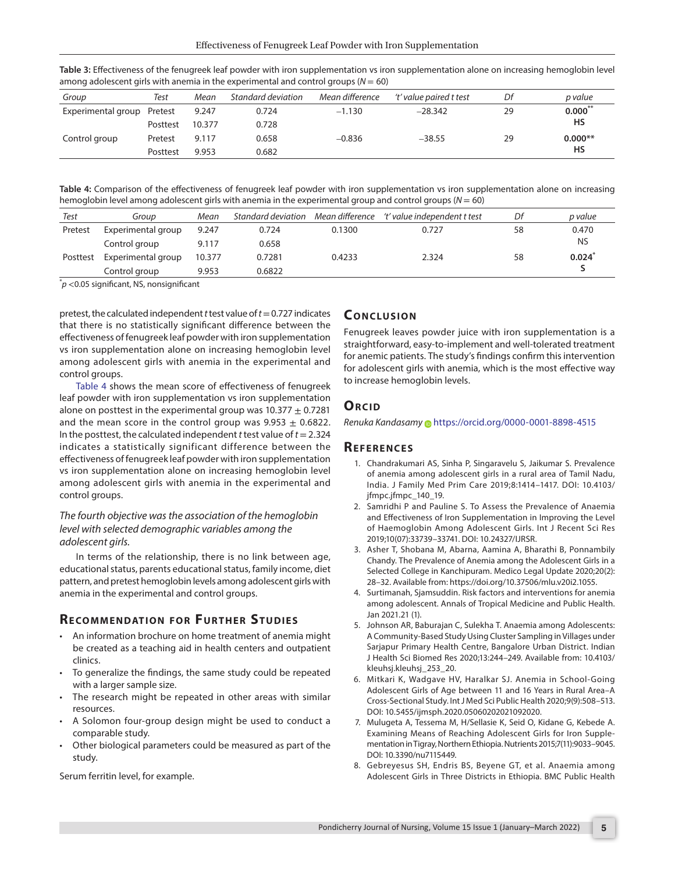| .                          |          |        |                    |                 |                         |    |           |
|----------------------------|----------|--------|--------------------|-----------------|-------------------------|----|-----------|
| Group                      | Test     | Mean   | Standard deviation | Mean difference | 't' value paired t test | Df | p value   |
| Experimental group Pretest |          | 9.247  | 0.724              | $-1.130$        | $-28.342$               | 29 | $0.000$ * |
|                            | Posttest | 10.377 | 0.728              |                 |                         |    | HS        |
| Control group              | Pretest  | 9.117  | 0.658              | $-0.836$        | $-38.55$                | 29 | $0.000**$ |
|                            | Posttest | 9.953  | 0.682              |                 |                         |    | HS        |

<span id="page-2-3"></span>**Table 3:** Effectiveness of the fenugreek leaf powder with iron supplementation vs iron supplementation alone on increasing hemoglobin level among adolescent girls with anemia in the experimental and control groups  $(N = 60)$ 

<span id="page-2-4"></span>**Table 4:** Comparison of the effectiveness of fenugreek leaf powder with iron supplementation vs iron supplementation alone on increasing hemoglobin level among adolescent girls with anemia in the experimental group and control groups (*N* = 60)

| Test                                         | Group              | Mean   | Standard deviation Mean difference |        | 't' value independent t test | Df | p value   |
|----------------------------------------------|--------------------|--------|------------------------------------|--------|------------------------------|----|-----------|
| Pretest                                      | Experimental group | 9.247  | 0.724                              | 0.1300 | 0.727                        | 58 | 0.470     |
|                                              | Control group      | 9.117  | 0.658                              |        |                              |    | <b>NS</b> |
| Posttest                                     | Experimental group | 10.377 | 0.7281                             | 0.4233 | 2.324                        | 58 | 0.024     |
|                                              | Control group      | 9.953  | 0.6822                             |        |                              |    |           |
| $\sim$ 0.05 sinuificant NC is analogificant. |                    |        |                                    |        |                              |    |           |

 $\check{}p$  <0.05 significant, NS, nonsignificant

pretest, the calculated independent *t* test value of *t*= 0.727 indicates that there is no statistically significant difference between the effectiveness of fenugreek leaf powder with iron supplementation vs iron supplementation alone on increasing hemoglobin level among adolescent girls with anemia in the experimental and control groups.

[Table 4](#page-2-4) shows the mean score of effectiveness of fenugreek leaf powder with iron supplementation vs iron supplementation alone on posttest in the experimental group was  $10.377 \pm 0.7281$ and the mean score in the control group was  $9.953 \pm 0.6822$ . In the posttest, the calculated independent *t* test value of *t*= 2.324 indicates a statistically significant difference between the effectiveness of fenugreek leaf powder with iron supplementation vs iron supplementation alone on increasing hemoglobin level among adolescent girls with anemia in the experimental and control groups.

### *The fourth objective was the association of the hemoglobin level with selected demographic variables among the adolescent girls.*

In terms of the relationship, there is no link between age, educational status, parents educational status, family income, diet pattern, and pretest hemoglobin levels among adolescent girls with anemia in the experimental and control groups.

### **RECOMMENDATION FOR FURTHER STUDIES**

- An information brochure on home treatment of anemia might be created as a teaching aid in health centers and outpatient clinics.
- To generalize the findings, the same study could be repeated with a larger sample size.
- The research might be repeated in other areas with similar resources.
- A Solomon four-group design might be used to conduct a comparable study.
- Other biological parameters could be measured as part of the study.

Serum ferritin level, for example.

### **CONCLUSION**

Fenugreek leaves powder juice with iron supplementation is a straightforward, easy-to-implement and well-tolerated treatment for anemic patients. The study's findings confirm this intervention for adolescent girls with anemia, which is the most effective way to increase hemoglobin levels.

### **ORCID**

*Renuka Kandasam[y](https://orcid.org/0000-0001-8898-4515)* https://orcid.org/0000-0001-8898-4515

### **Re f e r e n c e s**

- <span id="page-2-0"></span>1. Chandrakumari AS, Sinha P, Singaravelu S, Jaikumar S. Prevalence of anemia among adolescent girls in a rural area of Tamil Nadu, India. J Family Med Prim Care 2019;8:1414–1417. DOI: 10.4103/ jfmpc.jfmpc\_140\_19.
- 2. Samridhi P and Pauline S. To Assess the Prevalence of Anaemia and Effectiveness of Iron Supplementation in Improving the Level of Haemoglobin Among Adolescent Girls. Int J Recent Sci Res 2019;10(07):33739–33741. DOI: 10.24327/IJRSR.
- 3. Asher T, Shobana M, Abarna, Aamina A, Bharathi B, Ponnambily Chandy. The Prevalence of Anemia among the Adolescent Girls in a Selected College in Kanchipuram. Medico Legal Update 2020;20(2): 28–32. Available from: https://doi.org/10.37506/mlu.v20i2.1055.
- 4. Surtimanah, Sjamsuddin. Risk factors and interventions for anemia among adolescent. Annals of Tropical Medicine and Public Health. Jan 2021.21 (1).
- <span id="page-2-1"></span>5. Johnson AR, Baburajan C, Sulekha T. Anaemia among Adolescents: A Community-Based Study Using Cluster Sampling in Villages under Sarjapur Primary Health Centre, Bangalore Urban District. Indian J Health Sci Biomed Res 2020;13:244–249. Available from: 10.4103/ kleuhsj.kleuhsj\_253\_20.
- <span id="page-2-2"></span>6. Mitkari K, Wadgave HV, Haralkar SJ. Anemia in School-Going Adolescent Girls of Age between 11 and 16 Years in Rural Area–A Cross-Sectional Study. Int J Med Sci Public Health 2020;9(9):508–513. DOI: 10.5455/ijmsph.2020.05060202021092020.
- 7. Mulugeta A, Tessema M, H/Sellasie K, Seid O, Kidane G, Kebede A. Examining Means of Reaching Adolescent Girls for Iron Supplementation in Tigray, Northern Ethiopia. Nutrients 2015;7(11):9033–9045. DOI: 10.3390/nu7115449.
- 8. Gebreyesus SH, Endris BS, Beyene GT, et al. Anaemia among Adolescent Girls in Three Districts in Ethiopia. BMC Public Health